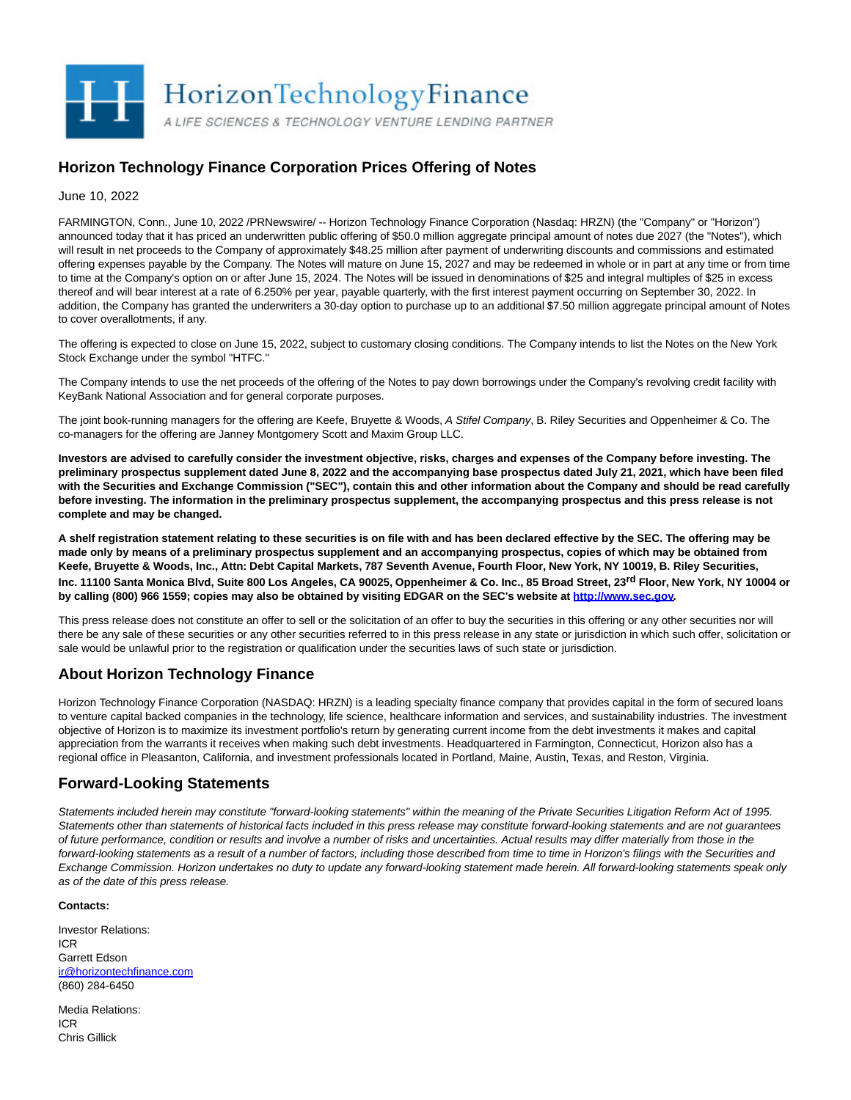

## **Horizon Technology Finance Corporation Prices Offering of Notes**

June 10, 2022

FARMINGTON, Conn., June 10, 2022 /PRNewswire/ -- Horizon Technology Finance Corporation (Nasdaq: HRZN) (the "Company" or "Horizon") announced today that it has priced an underwritten public offering of \$50.0 million aggregate principal amount of notes due 2027 (the "Notes"), which will result in net proceeds to the Company of approximately \$48.25 million after payment of underwriting discounts and commissions and estimated offering expenses payable by the Company. The Notes will mature on June 15, 2027 and may be redeemed in whole or in part at any time or from time to time at the Company's option on or after June 15, 2024. The Notes will be issued in denominations of \$25 and integral multiples of \$25 in excess thereof and will bear interest at a rate of 6.250% per year, payable quarterly, with the first interest payment occurring on September 30, 2022. In addition, the Company has granted the underwriters a 30-day option to purchase up to an additional \$7.50 million aggregate principal amount of Notes to cover overallotments, if any.

The offering is expected to close on June 15, 2022, subject to customary closing conditions. The Company intends to list the Notes on the New York Stock Exchange under the symbol "HTFC."

The Company intends to use the net proceeds of the offering of the Notes to pay down borrowings under the Company's revolving credit facility with KeyBank National Association and for general corporate purposes.

The joint book-running managers for the offering are Keefe, Bruyette & Woods, A Stifel Company, B. Riley Securities and Oppenheimer & Co. The co-managers for the offering are Janney Montgomery Scott and Maxim Group LLC.

**Investors are advised to carefully consider the investment objective, risks, charges and expenses of the Company before investing. The preliminary prospectus supplement dated June 8, 2022 and the accompanying base prospectus dated July 21, 2021, which have been filed with the Securities and Exchange Commission ("SEC"), contain this and other information about the Company and should be read carefully before investing. The information in the preliminary prospectus supplement, the accompanying prospectus and this press release is not complete and may be changed.**

**A shelf registration statement relating to these securities is on file with and has been declared effective by the SEC. The offering may be made only by means of a preliminary prospectus supplement and an accompanying prospectus, copies of which may be obtained from Keefe, Bruyette & Woods, Inc., Attn: Debt Capital Markets, 787 Seventh Avenue, Fourth Floor, New York, NY 10019, B. Riley Securities, Inc. 11100 Santa Monica Blvd, Suite 800 Los Angeles, CA 90025, Oppenheimer & Co. Inc., 85 Broad Street, 23rd Floor, New York, NY 10004 or by calling (800) 966 1559; copies may also be obtained by visiting EDGAR on the SEC's website a[t http://www.sec.gov.](https://c212.net/c/link/?t=0&l=en&o=3563509-1&h=3415687079&u=http%3A%2F%2Fwww.sec.gov&a=http%3A%2F%2Fwww.sec.gov)**

This press release does not constitute an offer to sell or the solicitation of an offer to buy the securities in this offering or any other securities nor will there be any sale of these securities or any other securities referred to in this press release in any state or jurisdiction in which such offer, solicitation or sale would be unlawful prior to the registration or qualification under the securities laws of such state or jurisdiction.

## **About Horizon Technology Finance**

Horizon Technology Finance Corporation (NASDAQ: HRZN) is a leading specialty finance company that provides capital in the form of secured loans to venture capital backed companies in the technology, life science, healthcare information and services, and sustainability industries. The investment objective of Horizon is to maximize its investment portfolio's return by generating current income from the debt investments it makes and capital appreciation from the warrants it receives when making such debt investments. Headquartered in Farmington, Connecticut, Horizon also has a regional office in Pleasanton, California, and investment professionals located in Portland, Maine, Austin, Texas, and Reston, Virginia.

## **Forward-Looking Statements**

Statements included herein may constitute "forward-looking statements" within the meaning of the Private Securities Litigation Reform Act of 1995. Statements other than statements of historical facts included in this press release may constitute forward-looking statements and are not guarantees of future performance, condition or results and involve a number of risks and uncertainties. Actual results may differ materially from those in the forward-looking statements as a result of a number of factors, including those described from time to time in Horizon's filings with the Securities and Exchange Commission. Horizon undertakes no duty to update any forward-looking statement made herein. All forward-looking statements speak only as of the date of this press release.

## **Contacts:**

Investor Relations: ICR Garrett Edson [ir@horizontechfinance.com](mailto:ir@horizontechfinance.com) (860) 284-6450

Media Relations: ICR Chris Gillick